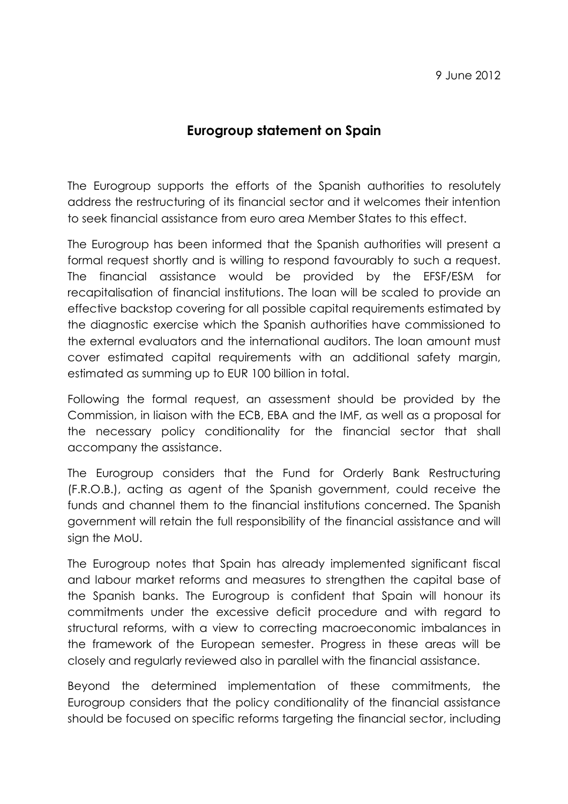## Eurogroup statement on Spain

The Eurogroup supports the efforts of the Spanish authorities to resolutely address the restructuring of its financial sector and it welcomes their intention to seek financial assistance from euro area Member States to this effect.

The Eurogroup has been informed that the Spanish authorities will present a formal request shortly and is willing to respond favourably to such a request. The financial assistance would be provided by the EFSF/ESM for recapitalisation of financial institutions. The loan will be scaled to provide an effective backstop covering for all possible capital requirements estimated by the diagnostic exercise which the Spanish authorities have commissioned to the external evaluators and the international auditors. The loan amount must cover estimated capital requirements with an additional safety margin, estimated as summing up to EUR 100 billion in total.

Following the formal request, an assessment should be provided by the Commission, in liaison with the ECB, EBA and the IMF, as well as a proposal for the necessary policy conditionality for the financial sector that shall accompany the assistance.

The Eurogroup considers that the Fund for Orderly Bank Restructuring (F.R.O.B.), acting as agent of the Spanish government, could receive the funds and channel them to the financial institutions concerned. The Spanish government will retain the full responsibility of the financial assistance and will sign the MoU.

The Eurogroup notes that Spain has already implemented significant fiscal and labour market reforms and measures to strengthen the capital base of the Spanish banks. The Eurogroup is confident that Spain will honour its commitments under the excessive deficit procedure and with regard to structural reforms, with a view to correcting macroeconomic imbalances in the framework of the European semester. Progress in these areas will be closely and regularly reviewed also in parallel with the financial assistance.

Beyond the determined implementation of these commitments, the Eurogroup considers that the policy conditionality of the financial assistance should be focused on specific reforms targeting the financial sector, including